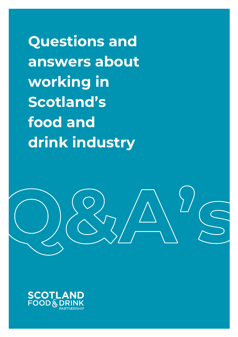**Questions and answers about working in Scotland's food and drink industry**

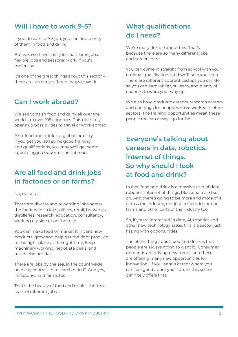#### **Will I have to work 9-5?**

If you do want a 9-5 job, you can find plenty of them in food and drink.

But we also have shift jobs, part-time jobs, flexible jobs and seasonal work, if you'd prefer that.

It's one of the great things about this sector – there are so many different ways to work.

#### **Can I work abroad?**

We sell Scottish food and drink all over the world – to over 105 countries. This definitely opens up possibilities to travel or work abroad.

Also, food and drink is a global industry. If you get yourself some good training and qualifications, you may well get some appetising job opportunities abroad.

### **Are all food and drink jobs in factories or on farms?**

No, not at all.

There are diverse and rewarding jobs across the foodchain, in labs, offices, retail, breweries, distilleries, research, education, consultancy, working outside or on the road.

You can make food or market it, invent new products, grow and help get the right produce to the right place at the right time, keep machinery working, negotiate deals, and much else besides.

There are jobs by the sea, in the countryside or in city centres. In research or in IT. And yes, in factories and farms too.

That's the beauty of food and drink – there's a feast of different jobs.

### **What qualifications do I need?**

We're really flexible about this. That's because there are so many different jobs and careers here.

You can come in straight from school with your national qualifications and we'll help you train. There are different apprenticeships you can do, so you can earn while you learn, and plenty of chances to work your way up.

We also have graduate careers, research careers, and openings for people who've worked in other sectors. The training opportunities mean these people too can always go further.

## **Everyone's talking about careers in data, robotics, internet of things. So why should I look at food and drink?**

In fact, food and drink is a massive user of data, robotics, internet of things, blockchain and so on. And there's going to be more and more of it across the industry, not just in factories but on farms and other parts of the industry too.

So, if you're interested in data, AI, robotics and other new technology areas, this is a sector just fizzing with opportunities.

The other thing about food and drink is that people are always going to want it. Consumer demands are driving new trends and these are offering many new opportunities for innovation. If you want a career where you can feel good about your future, this sector definitely offers that.